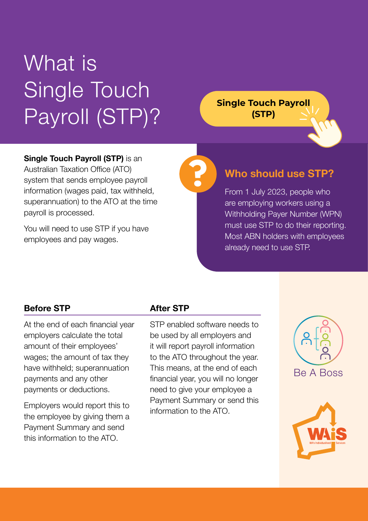# What is **Single Touch** Payroll (STP)?

**Single Touch Payroll (STP)**

### **Single Touch Payroll (STP)** is an

Australian Taxation Office (ATO) system that sends employee payroll information (wages paid, tax withheld, superannuation) to the ATO at the time payroll is processed.

You will need to use STP if you have employees and pay wages.

## **Who should use STP?**

From 1 July 2023, people who are employing workers using a Withholding Payer Number (WPN) must use STP to do their reporting. Most ABN holders with employees already need to use STP.

#### **Before STP**

At the end of each financial year employers calculate the total amount of their employees' wages; the amount of tax they have withheld; superannuation payments and any other payments or deductions.

Employers would report this to the employee by giving them a Payment Summary and send this information to the ATO.

#### **After STP**

STP enabled software needs to be used by all employers and it will report payroll information to the ATO throughout the year. This means, at the end of each financial year, you will no longer need to give your employee a Payment Summary or send this information to the ATO.

**?**